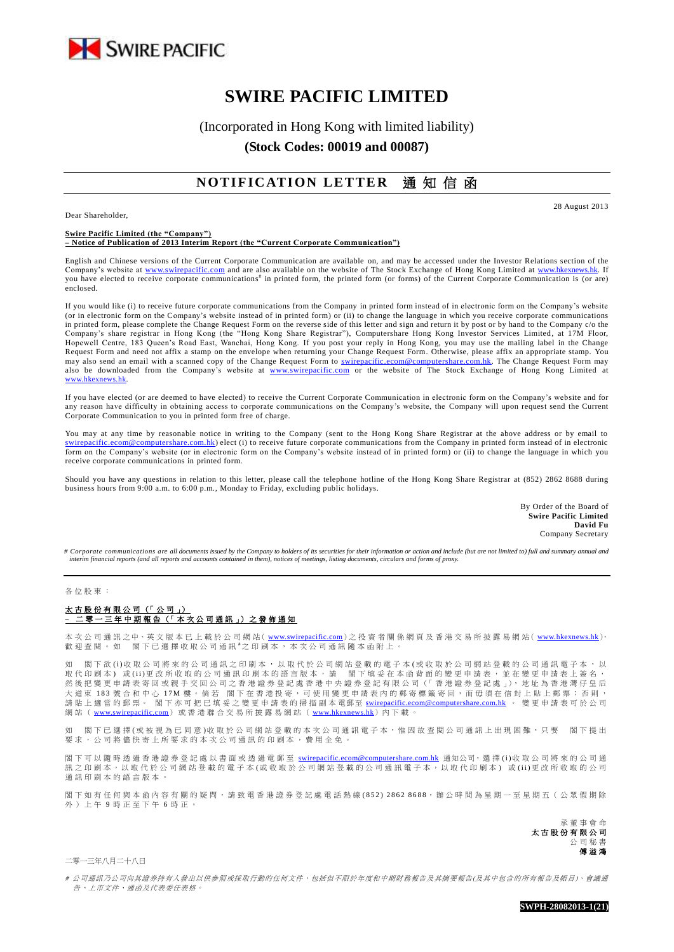

# **SWIRE PACIFIC LIMITED**

(Incorporated in Hong Kong with limited liability)

**(Stock Codes: 00019 and 00087)**

## **NOTIFICATION LETTER 通知信函**

Dear Shareholder,

28 August 2013

#### **Swire Pacific Limited (the "Company") – Notice of Publication of 2013 Interim Report (the "Current Corporate Communication")**

English and Chinese versions of the Current Corporate Communication are available on, and may be accessed under the Investor Relations section of the Company's website at [www.swirepacific.com](http://www.swirepacific.com/) and are also available on the website of The Stock Exchange of Hong Kong Limited at [www.hkexnews.hk.](http://www.hkexnews.hk/) If you have elected to receive corporate communications<sup>#</sup> in printed form, the printed form (or forms) of the Current Corporate Communication is (or are) enclosed.

If you would like (i) to receive future corporate communications from the Company in printed form instead of in electronic form on the Company's website (or in electronic form on the Company's website instead of in printed form) or (ii) to change the language in which you receive corporate communications in printed form, please complete the Change Request Form on the reverse side of this letter and sign and return it by post or by hand to the Company c/o the Company's share registrar in Hong Kong (the "Hong Kong Share Registrar"), Computershare Hong Kong Investor Services Limited, at 17M Floor, Hopewell Centre, 183 Queen's Road East, Wanchai, Hong Kong. If you post your reply in Hong Kong, you may use the mailing label in the Change Request Form and need not affix a stamp on the envelope when returning your Change Request Form. Otherwise, please affix an appropriate stamp. You may also send an email with a scanned copy of the Change Request Form to *swirepacific.ecom@computershare.com.hk*. The Change Request Form may also be downloaded from the Company's website at [www.swirepacific.com](http://www.swirepacific.com/) or the website of The Stock Exchange of Hong Kong Limited at [www.hkexnews.hk](http://www.hkexnews.hk/).

If you have elected (or are deemed to have elected) to receive the Current Corporate Communication in electronic form on the Company's website and for any reason have difficulty in obtaining access to corporate communications on the Company's website, the Company will upon request send the Current Corporate Communication to you in printed form free of charge.

You may at any time by reasonable notice in writing to the Company (sent to the Hong Kong Share Registrar at the above address or by email to utershare.com.hk) elect (i) to receive future corporate communications from the Company in printed form instead of in electronic form on the Company's website (or in electronic form on the Company's website instead of in printed form) or (ii) to change the language in which you receive corporate communications in printed form.

Should you have any questions in relation to this letter, please call the telephone hotline of the Hong Kong Share Registrar at (852) 2862 8688 during business hours from 9:00 a.m. to 6:00 p.m., Monday to Friday, excluding public holidays.

> By Order of the Board of **Swire Pacific Limited David Fu** Company Secretary

*# Corporate communications are all documents issued by the Company to holders of its securities for their information or action and include (but are not limited to) full and summary annual and interim financial reports (and all reports and accounts contained in them), notices of meetings, listing documents, circulars and forms of proxy.*

### 各 位 股 東 :

#### 太古股份有限公司 (「公司」) **–** 二零一三年中期報告 (「 本 次 公 司 通 訊 」) 之 發 佈 通 知

本 次 公 司 通 訊 之中、英 文 版 本 已 上 載 於 公 司 網 站 ( <u>[www.swirepacific.com](http://www.swirepacific.com/)</u> ) 之 投 資 者 關 係 網 頁 及 香 港 交 易 所 披 露 易 網 站 ( <u>[www.hkexnews.hk](http://www.hkexnews.hk/)</u> ),<br>歡 迎 查 閱 。 如 閣 下 已 選 擇 收 取 公 司 通 訊 <sup>#</sup>之 印 刷 本 , 本 次 公 司 通 訊 隨 本 函 附 上 。

如 閣 下 欲 (i)收 取 公 司 將 來 的 公 司 通 訊 之 印 刷 本 , 以 取 代 於 公 司 網 站 登 載 的 盛 司 網 站 登 載 的 公 司 通 訊 電 子 本 , 以 ※ 代 G n 刷本) 或 (ii)更改所收取的公司通訊印刷本的語言版本, 前, 閣下填妥在本函背面的變更申請表, 並在變更申請表上簽名, "然 (《 P. 學 更 申 請 表 寄 回 或 親 手 交 回 公 司 之 香 港 證 券 登 記 處 香 港 中 光 。 " 。" 、 我 之 " L." 【 石 光 證 券 登 記 處 」), 地 址 為 香 港 灣 仔 皇 后<br>然 後 把 變 更 申 請 表 寄 回 或 親 手 交 回 公 司 之 香 港 證 券 登 記 處 香 港 中 央 證 券 登 記 有 限 公 司(「 香 港 證 券 登 記 處 」), 地 址 為 香 港 大 道 東 183 號 合 和 中 心 17M 樓 。倘 若 閣 下 在 香 港 投 寄 , 可 使 用 變 更 申 請 表 内 的 郵 寄 標 籤 寄 回 , 而 毋 須 在 信 封 上 貼 上 郵 票 ; 否 則 , 請 貼 上 適 當 的 郵 票 。 閣 下 亦 可 把 已 填 妥 之 變 更 申 請 表 的 掃 描 副 本 電 郵 至 <u>[swirepacific.ecom@computershare.com.hk](mailto:swirepacific.ecom@computershare.com.hk)</u> 。 變 更 申 請 表 可 於 公 司 網站 ( [www.swirepacific.com](http://www.swirepacific.com/)) 或香港聯合交易所披露易網站 ( [www.hkexnews.hk](http://www.hkexnews.hk/)) 内下載

如 閣下已 選擇(或被視為已同意)收取於公司網站登載的本次公司通訊電子本,惟因故查閱公司通訊上出現困難,只要 閣下提出 要求, 公司將儘 快 寄 上 所 要 求 的 本 次 公 司 通 訊 的 印 刷 本 , 費 用 全 免 。

閣下可以 隨時 透 過 香 港 證 券 登 記 處 以 書 面 或 透 過 電 郵 至 [swirepacific.ecom@computershare.com.hk](mailto:swirepacific.ecom@computershare.com.hk) 通知公司, 選 擇 (i)收 取 公 司 將 來 的 公 司 通 訊之 印 刷 本, 以 取 代 於 公 司 網 站 登 載 的 電 子 本 ( 或 收 取 於 公 司 網 站 登 載 的 公 司 通 訊 電 子 本, 以 取 代 印 刷 本) 或 ( ii )更 改 所 收 取 的 公 司 通 訊 印 刷 本 的 語 言 版 本 。

閣下如 有任何 與 本 函 內 容 有 關 的 疑 問 , 請致電 香 港 證 券 登 記 處 電話熱線 ( 8 5 2 ) 2 8 6 2 8 6 8 8, 辦 公 時 間 為 星 期 一 至 星 期 五 ( 公 眾 假 期 除 外 ) 上 午 9 時 正 至 下 午 6 時正。

> 承 董 事 會 命 太古股份有限公司 公 司 秘 傅溢鴻

二零一三年八月二十八日

# 公司通訊乃公司向其證券持有人發出以供參照或採取行動的任何文件,包括但不限於年度和中期財務報告及其摘要報告(及其中包含的所有報告及帳目)、會議通 告、上市文件、通函及代表委任表格。